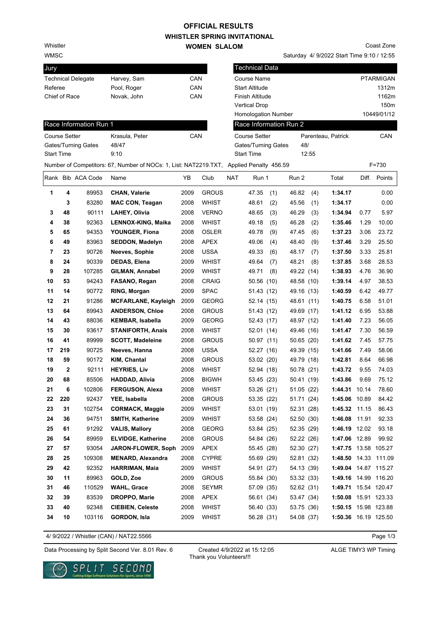## **WHISTLER SPRING INVITATIONAL WOMEN SLALOM OFFICIAL RESULTS**

Whistler

WMSC

| Jury                      |             |     |
|---------------------------|-------------|-----|
| <b>Technical Delegate</b> | Harvey, Sam | CAN |
| Referee                   | Pool, Roger | CAN |
| Chief of Race             | Novak. John | CAN |

Saturday 4/ 9/2022 Start Time 9:10 / 12:55 Coast Zone

| CAN<br><b>PTARMIGAN</b><br><b>Technical Delegate</b><br>Harvey, Sam<br>Course Name<br>CAN<br>Referee<br>Pool, Roger<br><b>Start Altitude</b><br>Chief of Race<br>CAN<br>Novak, John<br>Finish Altitude<br><b>Vertical Drop</b><br>10449/01/12<br><b>Homologation Number</b><br>Race Information Run 1<br>Race Information Run 2<br>CAN<br><b>Course Setter</b><br><b>Course Setter</b><br>Krasula, Peter<br>Parenteau, Patrick<br>48/<br>Gates/Turning Gates<br>48/47<br>Gates/Turning Gates<br>12:55<br><b>Start Time</b><br>9:10<br><b>Start Time</b><br>Number of Competitors: 67, Number of NOCs: 1, List: NAT2219.TXT, Applied Penalty 456.59<br>$F = 730$<br>Rank Bib ACA Code<br><b>NAT</b><br>Total<br>Diff.<br>Name<br>ΥB<br>Club<br>Run 1<br>Run 2<br>1<br>4<br>89953<br>2009<br><b>GROUS</b><br>46.82<br>1:34.17<br><b>CHAN, Valerie</b><br>47.35<br>(4)<br>(1)<br>83280<br>2008<br><b>WHIST</b><br>45.56<br>1:34.17<br>3<br><b>MAC CON, Teagan</b><br>48.61<br>(2)<br>(1)<br>48<br>90111<br>2008<br><b>VERNO</b><br>46.29<br>3<br>LAHEY, Olivia<br>48.65<br>(3)<br>(3)<br>1:34.94<br>0.77<br>92363<br>46.28<br>1.29<br>4<br>38<br>LENNOX-KING, Maika<br>2008<br><b>WHIST</b><br>49.18<br>(2)<br>1:35.46<br>(5)<br>5<br>94353<br>2008<br>49.78<br>47.45<br>(6)<br>3.06<br>65<br>YOUNGER, Fiona<br>OSLER<br>(9)<br>1:37.23<br>83963<br><b>APEX</b><br>3.29<br>6<br>49<br><b>SEDDON, Madelyn</b><br>2008<br>49.06<br>(4)<br>48.40<br>(9)<br>1:37.46<br>90726<br><b>USSA</b><br>7<br>23<br>Neeves, Sophie<br>2008<br>49.33<br>48.17<br>(7)<br>1:37.50<br>3.33<br>(6)<br>8<br>90339<br>48.21<br>24<br>DEDAS, Elena<br>2009<br>WHIST<br>49.64<br>(8)<br>1:37.85<br>3.68<br>(7)<br>9<br>28<br>107285<br>GILMAN, Annabel<br>2009<br>WHIST<br>49.71<br>(8)<br>49.22 (14)<br>1:38.93<br>4.76<br>94243<br>53<br>2008<br>4.97<br>10<br>FASANO, Regan<br>CRAIG<br>50.56 (10)<br>48.58 (10)<br>1:39.14<br>11<br>90772<br>2009<br><b>SPAC</b><br>14<br>RING, Morgan<br>1:40.59<br>6.42<br>51.43 (12)<br>49.16 (13)<br>91286<br>12<br>21<br>2009<br><b>GEORG</b><br>1:40.75<br>6.58<br><b>MCFARLANE, Kayleigh</b><br>52.14 (15)<br>48.61 (11)<br>13<br>89943<br><b>GROUS</b><br>6.95<br>64<br><b>ANDERSON, Chloe</b><br>2008<br>51.43 (12)<br>49.69 (17)<br>1:41.12<br>14<br>88036<br>7.23<br>43<br><b>KEMBAR, Isabella</b><br>2009<br><b>GEORG</b><br>52.43 (17)<br>48.97 (12)<br>1:41.40<br>93617<br><b>WHIST</b><br>7.30<br>15<br>30<br><b>STANIFORTH, Anais</b><br>2008<br>52.01 (14)<br>49.46 (16)<br>1:41.47<br>89999<br><b>GROUS</b><br>16<br>41<br><b>SCOTT, Madeleine</b><br>2008<br>50.65 (20)<br>1:41.62<br>7.45<br>50.97 (11)<br><b>USSA</b><br>17<br>219<br>90725<br>Neeves, Hanna<br>2008<br>49.39 (15)<br>1:41.66<br>7.49<br>52.27 (16)<br>18<br>59<br>90172<br>KIM, Chantal<br>2008<br><b>GROUS</b><br>49.79 (18)<br>1:42.81<br>8.64<br>53.02 (20) | 1312m<br>1162m<br>150m<br><b>CAN</b><br>Points<br>0.00<br>0.00 |
|----------------------------------------------------------------------------------------------------------------------------------------------------------------------------------------------------------------------------------------------------------------------------------------------------------------------------------------------------------------------------------------------------------------------------------------------------------------------------------------------------------------------------------------------------------------------------------------------------------------------------------------------------------------------------------------------------------------------------------------------------------------------------------------------------------------------------------------------------------------------------------------------------------------------------------------------------------------------------------------------------------------------------------------------------------------------------------------------------------------------------------------------------------------------------------------------------------------------------------------------------------------------------------------------------------------------------------------------------------------------------------------------------------------------------------------------------------------------------------------------------------------------------------------------------------------------------------------------------------------------------------------------------------------------------------------------------------------------------------------------------------------------------------------------------------------------------------------------------------------------------------------------------------------------------------------------------------------------------------------------------------------------------------------------------------------------------------------------------------------------------------------------------------------------------------------------------------------------------------------------------------------------------------------------------------------------------------------------------------------------------------------------------------------------------------------------------------------------------------------------------------------------------------------------------------------------------------------------------------------------------------------------------------------------------------------------------------------------------------------------------------------------------------------------------------------------------------------------------------------|----------------------------------------------------------------|
|                                                                                                                                                                                                                                                                                                                                                                                                                                                                                                                                                                                                                                                                                                                                                                                                                                                                                                                                                                                                                                                                                                                                                                                                                                                                                                                                                                                                                                                                                                                                                                                                                                                                                                                                                                                                                                                                                                                                                                                                                                                                                                                                                                                                                                                                                                                                                                                                                                                                                                                                                                                                                                                                                                                                                                                                                                                                |                                                                |
|                                                                                                                                                                                                                                                                                                                                                                                                                                                                                                                                                                                                                                                                                                                                                                                                                                                                                                                                                                                                                                                                                                                                                                                                                                                                                                                                                                                                                                                                                                                                                                                                                                                                                                                                                                                                                                                                                                                                                                                                                                                                                                                                                                                                                                                                                                                                                                                                                                                                                                                                                                                                                                                                                                                                                                                                                                                                |                                                                |
|                                                                                                                                                                                                                                                                                                                                                                                                                                                                                                                                                                                                                                                                                                                                                                                                                                                                                                                                                                                                                                                                                                                                                                                                                                                                                                                                                                                                                                                                                                                                                                                                                                                                                                                                                                                                                                                                                                                                                                                                                                                                                                                                                                                                                                                                                                                                                                                                                                                                                                                                                                                                                                                                                                                                                                                                                                                                |                                                                |
|                                                                                                                                                                                                                                                                                                                                                                                                                                                                                                                                                                                                                                                                                                                                                                                                                                                                                                                                                                                                                                                                                                                                                                                                                                                                                                                                                                                                                                                                                                                                                                                                                                                                                                                                                                                                                                                                                                                                                                                                                                                                                                                                                                                                                                                                                                                                                                                                                                                                                                                                                                                                                                                                                                                                                                                                                                                                |                                                                |
|                                                                                                                                                                                                                                                                                                                                                                                                                                                                                                                                                                                                                                                                                                                                                                                                                                                                                                                                                                                                                                                                                                                                                                                                                                                                                                                                                                                                                                                                                                                                                                                                                                                                                                                                                                                                                                                                                                                                                                                                                                                                                                                                                                                                                                                                                                                                                                                                                                                                                                                                                                                                                                                                                                                                                                                                                                                                |                                                                |
|                                                                                                                                                                                                                                                                                                                                                                                                                                                                                                                                                                                                                                                                                                                                                                                                                                                                                                                                                                                                                                                                                                                                                                                                                                                                                                                                                                                                                                                                                                                                                                                                                                                                                                                                                                                                                                                                                                                                                                                                                                                                                                                                                                                                                                                                                                                                                                                                                                                                                                                                                                                                                                                                                                                                                                                                                                                                |                                                                |
|                                                                                                                                                                                                                                                                                                                                                                                                                                                                                                                                                                                                                                                                                                                                                                                                                                                                                                                                                                                                                                                                                                                                                                                                                                                                                                                                                                                                                                                                                                                                                                                                                                                                                                                                                                                                                                                                                                                                                                                                                                                                                                                                                                                                                                                                                                                                                                                                                                                                                                                                                                                                                                                                                                                                                                                                                                                                |                                                                |
|                                                                                                                                                                                                                                                                                                                                                                                                                                                                                                                                                                                                                                                                                                                                                                                                                                                                                                                                                                                                                                                                                                                                                                                                                                                                                                                                                                                                                                                                                                                                                                                                                                                                                                                                                                                                                                                                                                                                                                                                                                                                                                                                                                                                                                                                                                                                                                                                                                                                                                                                                                                                                                                                                                                                                                                                                                                                |                                                                |
|                                                                                                                                                                                                                                                                                                                                                                                                                                                                                                                                                                                                                                                                                                                                                                                                                                                                                                                                                                                                                                                                                                                                                                                                                                                                                                                                                                                                                                                                                                                                                                                                                                                                                                                                                                                                                                                                                                                                                                                                                                                                                                                                                                                                                                                                                                                                                                                                                                                                                                                                                                                                                                                                                                                                                                                                                                                                |                                                                |
|                                                                                                                                                                                                                                                                                                                                                                                                                                                                                                                                                                                                                                                                                                                                                                                                                                                                                                                                                                                                                                                                                                                                                                                                                                                                                                                                                                                                                                                                                                                                                                                                                                                                                                                                                                                                                                                                                                                                                                                                                                                                                                                                                                                                                                                                                                                                                                                                                                                                                                                                                                                                                                                                                                                                                                                                                                                                |                                                                |
|                                                                                                                                                                                                                                                                                                                                                                                                                                                                                                                                                                                                                                                                                                                                                                                                                                                                                                                                                                                                                                                                                                                                                                                                                                                                                                                                                                                                                                                                                                                                                                                                                                                                                                                                                                                                                                                                                                                                                                                                                                                                                                                                                                                                                                                                                                                                                                                                                                                                                                                                                                                                                                                                                                                                                                                                                                                                |                                                                |
|                                                                                                                                                                                                                                                                                                                                                                                                                                                                                                                                                                                                                                                                                                                                                                                                                                                                                                                                                                                                                                                                                                                                                                                                                                                                                                                                                                                                                                                                                                                                                                                                                                                                                                                                                                                                                                                                                                                                                                                                                                                                                                                                                                                                                                                                                                                                                                                                                                                                                                                                                                                                                                                                                                                                                                                                                                                                |                                                                |
|                                                                                                                                                                                                                                                                                                                                                                                                                                                                                                                                                                                                                                                                                                                                                                                                                                                                                                                                                                                                                                                                                                                                                                                                                                                                                                                                                                                                                                                                                                                                                                                                                                                                                                                                                                                                                                                                                                                                                                                                                                                                                                                                                                                                                                                                                                                                                                                                                                                                                                                                                                                                                                                                                                                                                                                                                                                                |                                                                |
|                                                                                                                                                                                                                                                                                                                                                                                                                                                                                                                                                                                                                                                                                                                                                                                                                                                                                                                                                                                                                                                                                                                                                                                                                                                                                                                                                                                                                                                                                                                                                                                                                                                                                                                                                                                                                                                                                                                                                                                                                                                                                                                                                                                                                                                                                                                                                                                                                                                                                                                                                                                                                                                                                                                                                                                                                                                                | 5.97                                                           |
|                                                                                                                                                                                                                                                                                                                                                                                                                                                                                                                                                                                                                                                                                                                                                                                                                                                                                                                                                                                                                                                                                                                                                                                                                                                                                                                                                                                                                                                                                                                                                                                                                                                                                                                                                                                                                                                                                                                                                                                                                                                                                                                                                                                                                                                                                                                                                                                                                                                                                                                                                                                                                                                                                                                                                                                                                                                                | 10.00                                                          |
|                                                                                                                                                                                                                                                                                                                                                                                                                                                                                                                                                                                                                                                                                                                                                                                                                                                                                                                                                                                                                                                                                                                                                                                                                                                                                                                                                                                                                                                                                                                                                                                                                                                                                                                                                                                                                                                                                                                                                                                                                                                                                                                                                                                                                                                                                                                                                                                                                                                                                                                                                                                                                                                                                                                                                                                                                                                                | 23.72                                                          |
|                                                                                                                                                                                                                                                                                                                                                                                                                                                                                                                                                                                                                                                                                                                                                                                                                                                                                                                                                                                                                                                                                                                                                                                                                                                                                                                                                                                                                                                                                                                                                                                                                                                                                                                                                                                                                                                                                                                                                                                                                                                                                                                                                                                                                                                                                                                                                                                                                                                                                                                                                                                                                                                                                                                                                                                                                                                                | 25.50                                                          |
|                                                                                                                                                                                                                                                                                                                                                                                                                                                                                                                                                                                                                                                                                                                                                                                                                                                                                                                                                                                                                                                                                                                                                                                                                                                                                                                                                                                                                                                                                                                                                                                                                                                                                                                                                                                                                                                                                                                                                                                                                                                                                                                                                                                                                                                                                                                                                                                                                                                                                                                                                                                                                                                                                                                                                                                                                                                                | 25.81                                                          |
|                                                                                                                                                                                                                                                                                                                                                                                                                                                                                                                                                                                                                                                                                                                                                                                                                                                                                                                                                                                                                                                                                                                                                                                                                                                                                                                                                                                                                                                                                                                                                                                                                                                                                                                                                                                                                                                                                                                                                                                                                                                                                                                                                                                                                                                                                                                                                                                                                                                                                                                                                                                                                                                                                                                                                                                                                                                                | 28.53                                                          |
|                                                                                                                                                                                                                                                                                                                                                                                                                                                                                                                                                                                                                                                                                                                                                                                                                                                                                                                                                                                                                                                                                                                                                                                                                                                                                                                                                                                                                                                                                                                                                                                                                                                                                                                                                                                                                                                                                                                                                                                                                                                                                                                                                                                                                                                                                                                                                                                                                                                                                                                                                                                                                                                                                                                                                                                                                                                                | 36.90                                                          |
|                                                                                                                                                                                                                                                                                                                                                                                                                                                                                                                                                                                                                                                                                                                                                                                                                                                                                                                                                                                                                                                                                                                                                                                                                                                                                                                                                                                                                                                                                                                                                                                                                                                                                                                                                                                                                                                                                                                                                                                                                                                                                                                                                                                                                                                                                                                                                                                                                                                                                                                                                                                                                                                                                                                                                                                                                                                                | 38.53                                                          |
|                                                                                                                                                                                                                                                                                                                                                                                                                                                                                                                                                                                                                                                                                                                                                                                                                                                                                                                                                                                                                                                                                                                                                                                                                                                                                                                                                                                                                                                                                                                                                                                                                                                                                                                                                                                                                                                                                                                                                                                                                                                                                                                                                                                                                                                                                                                                                                                                                                                                                                                                                                                                                                                                                                                                                                                                                                                                | 49.77                                                          |
|                                                                                                                                                                                                                                                                                                                                                                                                                                                                                                                                                                                                                                                                                                                                                                                                                                                                                                                                                                                                                                                                                                                                                                                                                                                                                                                                                                                                                                                                                                                                                                                                                                                                                                                                                                                                                                                                                                                                                                                                                                                                                                                                                                                                                                                                                                                                                                                                                                                                                                                                                                                                                                                                                                                                                                                                                                                                | 51.01                                                          |
|                                                                                                                                                                                                                                                                                                                                                                                                                                                                                                                                                                                                                                                                                                                                                                                                                                                                                                                                                                                                                                                                                                                                                                                                                                                                                                                                                                                                                                                                                                                                                                                                                                                                                                                                                                                                                                                                                                                                                                                                                                                                                                                                                                                                                                                                                                                                                                                                                                                                                                                                                                                                                                                                                                                                                                                                                                                                | 53.88                                                          |
|                                                                                                                                                                                                                                                                                                                                                                                                                                                                                                                                                                                                                                                                                                                                                                                                                                                                                                                                                                                                                                                                                                                                                                                                                                                                                                                                                                                                                                                                                                                                                                                                                                                                                                                                                                                                                                                                                                                                                                                                                                                                                                                                                                                                                                                                                                                                                                                                                                                                                                                                                                                                                                                                                                                                                                                                                                                                | 56.05                                                          |
|                                                                                                                                                                                                                                                                                                                                                                                                                                                                                                                                                                                                                                                                                                                                                                                                                                                                                                                                                                                                                                                                                                                                                                                                                                                                                                                                                                                                                                                                                                                                                                                                                                                                                                                                                                                                                                                                                                                                                                                                                                                                                                                                                                                                                                                                                                                                                                                                                                                                                                                                                                                                                                                                                                                                                                                                                                                                | 56.59                                                          |
|                                                                                                                                                                                                                                                                                                                                                                                                                                                                                                                                                                                                                                                                                                                                                                                                                                                                                                                                                                                                                                                                                                                                                                                                                                                                                                                                                                                                                                                                                                                                                                                                                                                                                                                                                                                                                                                                                                                                                                                                                                                                                                                                                                                                                                                                                                                                                                                                                                                                                                                                                                                                                                                                                                                                                                                                                                                                | 57.75                                                          |
|                                                                                                                                                                                                                                                                                                                                                                                                                                                                                                                                                                                                                                                                                                                                                                                                                                                                                                                                                                                                                                                                                                                                                                                                                                                                                                                                                                                                                                                                                                                                                                                                                                                                                                                                                                                                                                                                                                                                                                                                                                                                                                                                                                                                                                                                                                                                                                                                                                                                                                                                                                                                                                                                                                                                                                                                                                                                | 58.06                                                          |
|                                                                                                                                                                                                                                                                                                                                                                                                                                                                                                                                                                                                                                                                                                                                                                                                                                                                                                                                                                                                                                                                                                                                                                                                                                                                                                                                                                                                                                                                                                                                                                                                                                                                                                                                                                                                                                                                                                                                                                                                                                                                                                                                                                                                                                                                                                                                                                                                                                                                                                                                                                                                                                                                                                                                                                                                                                                                | 66.98                                                          |
| 2<br>92111<br>9.55<br>19<br><b>HEYRIES, Liv</b><br>2008<br>WHIST<br>50.78 (21)<br>1:43.72<br>52.94 (18)                                                                                                                                                                                                                                                                                                                                                                                                                                                                                                                                                                                                                                                                                                                                                                                                                                                                                                                                                                                                                                                                                                                                                                                                                                                                                                                                                                                                                                                                                                                                                                                                                                                                                                                                                                                                                                                                                                                                                                                                                                                                                                                                                                                                                                                                                                                                                                                                                                                                                                                                                                                                                                                                                                                                                        | 74.03                                                          |
| 85506<br>2008<br>1:43.86<br>9.69<br>20<br>68<br><b>HADDAD, Alivia</b><br><b>BIGWH</b><br>53.45 (23)<br>50.41 (19)                                                                                                                                                                                                                                                                                                                                                                                                                                                                                                                                                                                                                                                                                                                                                                                                                                                                                                                                                                                                                                                                                                                                                                                                                                                                                                                                                                                                                                                                                                                                                                                                                                                                                                                                                                                                                                                                                                                                                                                                                                                                                                                                                                                                                                                                                                                                                                                                                                                                                                                                                                                                                                                                                                                                              | 75.12                                                          |
| 21<br>102806<br>2008<br><b>WHIST</b><br><b>FERGUSON, Alexa</b><br>53.26 (21)<br>51.05 (22)<br>1:44.31 10.14<br>6<br>1:45.06 10.89                                                                                                                                                                                                                                                                                                                                                                                                                                                                                                                                                                                                                                                                                                                                                                                                                                                                                                                                                                                                                                                                                                                                                                                                                                                                                                                                                                                                                                                                                                                                                                                                                                                                                                                                                                                                                                                                                                                                                                                                                                                                                                                                                                                                                                                                                                                                                                                                                                                                                                                                                                                                                                                                                                                              | 78.60                                                          |
| 220<br>22<br>92437<br>YEE, Isabella<br>2008<br><b>GROUS</b><br>53.35 (22)<br>51.71 (24)<br>31<br>23<br>102754<br><b>CORMACK, Maggie</b><br>2009<br>WHIST<br>53.01 (19)<br>52.31 (28)<br>1:45.32 11.15                                                                                                                                                                                                                                                                                                                                                                                                                                                                                                                                                                                                                                                                                                                                                                                                                                                                                                                                                                                                                                                                                                                                                                                                                                                                                                                                                                                                                                                                                                                                                                                                                                                                                                                                                                                                                                                                                                                                                                                                                                                                                                                                                                                                                                                                                                                                                                                                                                                                                                                                                                                                                                                          | 84.42<br>86.43                                                 |
| 94751<br>24<br>36<br><b>SMITH, Katherine</b><br>2009<br>WHIST<br>53.58 (24)<br>52.50 (30)<br>1:46.08 11.91                                                                                                                                                                                                                                                                                                                                                                                                                                                                                                                                                                                                                                                                                                                                                                                                                                                                                                                                                                                                                                                                                                                                                                                                                                                                                                                                                                                                                                                                                                                                                                                                                                                                                                                                                                                                                                                                                                                                                                                                                                                                                                                                                                                                                                                                                                                                                                                                                                                                                                                                                                                                                                                                                                                                                     | 92.33                                                          |
| 91292<br><b>VALIS, Mallory</b><br>2008<br>GEORG<br>1:46.19 12.02<br>25<br>61<br>53.84 (25)<br>52.35 (29)                                                                                                                                                                                                                                                                                                                                                                                                                                                                                                                                                                                                                                                                                                                                                                                                                                                                                                                                                                                                                                                                                                                                                                                                                                                                                                                                                                                                                                                                                                                                                                                                                                                                                                                                                                                                                                                                                                                                                                                                                                                                                                                                                                                                                                                                                                                                                                                                                                                                                                                                                                                                                                                                                                                                                       | 93.18                                                          |
| 89959<br><b>GROUS</b><br>26<br>54<br><b>ELVIDGE, Katherine</b><br>2008<br>54.84 (26)<br>52.22 (26)<br>1:47.06 12.89                                                                                                                                                                                                                                                                                                                                                                                                                                                                                                                                                                                                                                                                                                                                                                                                                                                                                                                                                                                                                                                                                                                                                                                                                                                                                                                                                                                                                                                                                                                                                                                                                                                                                                                                                                                                                                                                                                                                                                                                                                                                                                                                                                                                                                                                                                                                                                                                                                                                                                                                                                                                                                                                                                                                            | 99.92                                                          |
| 93054<br>27<br>57<br>JARON-FLOWER, Soph<br>2009<br>APEX<br>55.45 (28)<br>52.30 (27)<br>1:47.75 13.58 105.27                                                                                                                                                                                                                                                                                                                                                                                                                                                                                                                                                                                                                                                                                                                                                                                                                                                                                                                                                                                                                                                                                                                                                                                                                                                                                                                                                                                                                                                                                                                                                                                                                                                                                                                                                                                                                                                                                                                                                                                                                                                                                                                                                                                                                                                                                                                                                                                                                                                                                                                                                                                                                                                                                                                                                    |                                                                |
| 109308<br>25<br><b>MENARD, Alexandra</b><br>2008<br><b>CYPRE</b><br>55.69 (29)<br>52.81 (32)<br>1:48.50 14.33 111.09<br>28                                                                                                                                                                                                                                                                                                                                                                                                                                                                                                                                                                                                                                                                                                                                                                                                                                                                                                                                                                                                                                                                                                                                                                                                                                                                                                                                                                                                                                                                                                                                                                                                                                                                                                                                                                                                                                                                                                                                                                                                                                                                                                                                                                                                                                                                                                                                                                                                                                                                                                                                                                                                                                                                                                                                     |                                                                |
| 29<br>42<br>92352<br><b>HARRIMAN, Maia</b><br>2009<br>WHIST<br>54.91 (27)<br>54.13 (39)<br>1:49.04 14.87 115.27                                                                                                                                                                                                                                                                                                                                                                                                                                                                                                                                                                                                                                                                                                                                                                                                                                                                                                                                                                                                                                                                                                                                                                                                                                                                                                                                                                                                                                                                                                                                                                                                                                                                                                                                                                                                                                                                                                                                                                                                                                                                                                                                                                                                                                                                                                                                                                                                                                                                                                                                                                                                                                                                                                                                                |                                                                |
| 11<br>89963<br>GOLD, Zoe<br><b>GROUS</b><br>30<br>2009<br>55.84 (30)<br>53.32 (33)<br>1:49.16 14.99 116.20                                                                                                                                                                                                                                                                                                                                                                                                                                                                                                                                                                                                                                                                                                                                                                                                                                                                                                                                                                                                                                                                                                                                                                                                                                                                                                                                                                                                                                                                                                                                                                                                                                                                                                                                                                                                                                                                                                                                                                                                                                                                                                                                                                                                                                                                                                                                                                                                                                                                                                                                                                                                                                                                                                                                                     |                                                                |
| 110529<br>31<br>46<br><b>WAHL, Grace</b><br>2008<br><b>SEYMR</b><br>57.09 (35)<br>52.62 (31)<br>1:49.71 15.54 120.47                                                                                                                                                                                                                                                                                                                                                                                                                                                                                                                                                                                                                                                                                                                                                                                                                                                                                                                                                                                                                                                                                                                                                                                                                                                                                                                                                                                                                                                                                                                                                                                                                                                                                                                                                                                                                                                                                                                                                                                                                                                                                                                                                                                                                                                                                                                                                                                                                                                                                                                                                                                                                                                                                                                                           |                                                                |
| 39<br>83539<br><b>DROPPO, Marie</b><br>APEX<br>32<br>2008<br>56.61 (34)<br>53.47 (34)<br>1:50.08 15.91 123.33                                                                                                                                                                                                                                                                                                                                                                                                                                                                                                                                                                                                                                                                                                                                                                                                                                                                                                                                                                                                                                                                                                                                                                                                                                                                                                                                                                                                                                                                                                                                                                                                                                                                                                                                                                                                                                                                                                                                                                                                                                                                                                                                                                                                                                                                                                                                                                                                                                                                                                                                                                                                                                                                                                                                                  |                                                                |
| 92348<br>33<br>40<br><b>CIEBIEN, Celeste</b><br>2008<br>WHIST<br>56.40 (33)<br>53.75 (36)<br>1:50.15 15.98 123.88                                                                                                                                                                                                                                                                                                                                                                                                                                                                                                                                                                                                                                                                                                                                                                                                                                                                                                                                                                                                                                                                                                                                                                                                                                                                                                                                                                                                                                                                                                                                                                                                                                                                                                                                                                                                                                                                                                                                                                                                                                                                                                                                                                                                                                                                                                                                                                                                                                                                                                                                                                                                                                                                                                                                              |                                                                |
| 34<br>10<br>103116<br>GORDON, Isla<br>2009<br><b>WHIST</b><br>56.28 (31)<br>54.08 (37)<br>1:50.36 16.19 125.50                                                                                                                                                                                                                                                                                                                                                                                                                                                                                                                                                                                                                                                                                                                                                                                                                                                                                                                                                                                                                                                                                                                                                                                                                                                                                                                                                                                                                                                                                                                                                                                                                                                                                                                                                                                                                                                                                                                                                                                                                                                                                                                                                                                                                                                                                                                                                                                                                                                                                                                                                                                                                                                                                                                                                 |                                                                |

4/ 9/2022 / Whistler (CAN) / NAT22.5566

Page 1/3

Data Processing by Split Second Ver. 8.01 Rev. 6 Created 4/9/2022 at 15:12:05 ALGE TIMY3 WP Timing

Created 4/9/2022 at 15:12:05 Thank you Volunteers!!!

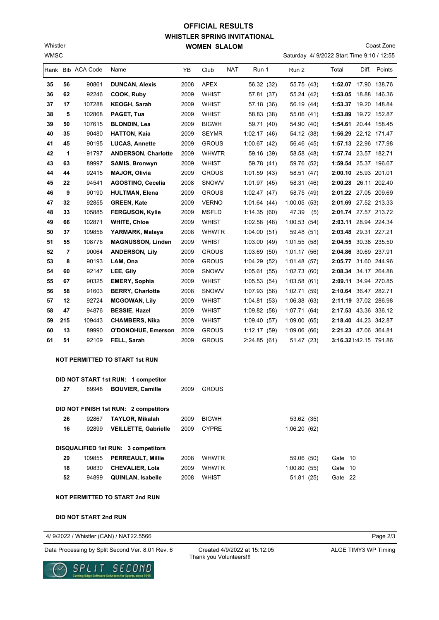## **WHISTLER SPRING INVITATIONAL WOMEN SLALOM OFFICIAL RESULTS**

Saturday 4/ 9/2022 Start Time 9:10 / 12:55 Coast Zone

|    |     | Rank Bib ACA Code | Name                                  | YB   | Club         | NAT | Run 1       | Run 2        |     | Total                 | Diff. Points |
|----|-----|-------------------|---------------------------------------|------|--------------|-----|-------------|--------------|-----|-----------------------|--------------|
| 35 | 56  | 90861             | <b>DUNCAN, Alexis</b>                 | 2008 | APEX         |     | 56.32 (32)  | 55.75 (43)   |     | 1:52.07 17.90 138.76  |              |
| 36 | 62  | 92246             | COOK, Ruby                            | 2009 | WHIST        |     | 57.81 (37)  | 55.24 (42)   |     | 1:53.05 18.88 146.36  |              |
| 37 | 17  | 107288            | KEOGH, Sarah                          | 2009 | WHIST        |     | 57.18 (36)  | 56.19 (44)   |     | 1:53.37 19.20 148.84  |              |
| 38 | 5   | 102868            | PAGET, Tua                            | 2009 | WHIST        |     | 58.83 (38)  | 55.06 (41)   |     | 1:53.89 19.72 152.87  |              |
| 39 | 50  | 107615            | <b>BLONDIN, Lea</b>                   | 2009 | <b>BIGWH</b> |     | 59.71 (40)  | 54.90 (40)   |     | 1:54.61 20.44 158.45  |              |
| 40 | 35  | 90480             | <b>HATTON, Kaia</b>                   | 2009 | <b>SEYMR</b> |     | 1:02.17(46) | 54.12 (38)   |     | 1:56.29 22.12 171.47  |              |
| 41 | 45  | 90195             | <b>LUCAS, Annette</b>                 | 2009 | <b>GROUS</b> |     | 1:00.67(42) | 56.46 (45)   |     | 1:57.13 22.96 177.98  |              |
| 42 | 1   | 91797             | <b>ANDERSON, Charlotte</b>            | 2009 | <b>WHWTR</b> |     | 59.16 (39)  | 58.58 (48)   |     | 1:57.74 23.57 182.71  |              |
| 43 | 63  | 89997             | <b>SAMIS, Bronwyn</b>                 | 2009 | <b>WHIST</b> |     | 59.78 (41)  | 59.76 (52)   |     | 1:59.54 25.37 196.67  |              |
| 44 | 44  | 92415             | <b>MAJOR, Olivia</b>                  | 2009 | <b>GROUS</b> |     | 1:01.59(43) | 58.51 (47)   |     | 2:00.10 25.93 201.01  |              |
| 45 | 22  | 94541             | <b>AGOSTINO, Cecelia</b>              | 2008 | <b>SNOWV</b> |     | 1:01.97(45) | 58.31 (46)   |     | 2:00.28 26.11 202.40  |              |
| 46 | 9   | 90190             | <b>HULTMAN, Elena</b>                 | 2009 | <b>GROUS</b> |     | 1:02.47(47) | 58.75 (49)   |     | 2:01.22 27.05 209.69  |              |
| 47 | 32  | 92855             | <b>GREEN, Kate</b>                    | 2009 | <b>VERNO</b> |     | 1:01.64(44) | 1:00.05(53)  |     | 2:01.69 27.52 213.33  |              |
| 48 | 33  | 105885            | <b>FERGUSON, Kylie</b>                | 2009 | <b>MSFLD</b> |     | 1:14.35(60) | 47.39        | (5) | 2:01.74 27.57 213.72  |              |
| 49 | 66  | 102871            | <b>WHITE, Chloe</b>                   | 2009 | <b>WHIST</b> |     | 1:02.58(48) | 1:00.53(54)  |     | 2:03.11 28.94 224.34  |              |
| 50 | 37  | 109856            | YARMARK, Malaya                       | 2008 | <b>WHWTR</b> |     | 1:04.00(51) | 59.48 (51)   |     | 2:03.48 29.31 227.21  |              |
| 51 | 55  | 108776            | <b>MAGNUSSON, Linden</b>              | 2009 | <b>WHIST</b> |     | 1:03.00(49) | 1:01.55(58)  |     | 2:04.55 30.38 235.50  |              |
| 52 | 7   | 90064             | <b>ANDERSON, Lily</b>                 | 2009 | <b>GROUS</b> |     | 1:03.69(50) | 1:01.17(56)  |     | 2:04.86 30.69 237.91  |              |
| 53 | 8   | 90193             | LAM, Ona                              | 2009 | <b>GROUS</b> |     | 1:04.29(52) | 1:01.48(57)  |     | 2:05.77 31.60 244.96  |              |
| 54 | 60  | 92147             | LEE, Gily                             | 2009 | <b>SNOWV</b> |     | 1:05.61(55) | 1:02.73(60)  |     | 2:08.34 34.17 264.88  |              |
| 55 | 67  | 90325             | <b>EMERY, Sophia</b>                  | 2009 | <b>WHIST</b> |     | 1:05.53(54) | 1:03.58(61)  |     | 2:09.11 34.94 270.85  |              |
| 56 | 58  | 91603             | <b>BERRY, Charlotte</b>               | 2008 | <b>SNOWV</b> |     | 1:07.93(56) | 1:02.71(59)  |     | 2:10.64 36.47 282.71  |              |
| 57 | 12  | 92724             | <b>MCGOWAN, Lily</b>                  | 2009 | <b>WHIST</b> |     | 1:04.81(53) | 1:06.38(63)  |     | 2:11.19 37.02 286.98  |              |
| 58 | 47  | 94876             | <b>BESSIE, Hazel</b>                  | 2009 | <b>WHIST</b> |     | 1:09.82(58) | 1:07.71 (64) |     | 2:17.53 43.36 336.12  |              |
| 59 | 215 | 109443            | <b>CHAMBERS, Nika</b>                 | 2009 | <b>WHIST</b> |     | 1:09.40(57) | 1:09.00(65)  |     | 2:18.40 44.23 342.87  |              |
| 60 | 13  | 89990             | <b>O'DONOHUE, Emerson</b>             | 2009 | <b>GROUS</b> |     | 1:12.17(59) | 1:09.06 (66) |     | 2:21.23 47.06 364.81  |              |
| 61 | 51  | 92109             | FELL, Sarah                           | 2009 | <b>GROUS</b> |     | 2:24.85(61) | 51.47 (23)   |     | 3:16.321:42.15 791.86 |              |
|    |     |                   | <b>NOT PERMITTED TO START 1st RUN</b> |      |              |     |             |              |     |                       |              |
|    |     |                   | DID NOT START 1st RUN: 1 competitor   |      |              |     |             |              |     |                       |              |
|    | 27  | 89948             | <b>BOUVIER, Camille</b>               | 2009 | <b>GROUS</b> |     |             |              |     |                       |              |
|    |     |                   | DID NOT FINISH 1st RUN: 2 competitors |      |              |     |             |              |     |                       |              |
|    | 26  | 92867             | <b>TAYLOR, Mikalah</b>                | 2009 | <b>BIGWH</b> |     |             | 53.62 (35)   |     |                       |              |
|    | 16  | 92899             | <b>VEILLETTE, Gabrielle</b>           | 2009 | <b>CYPRE</b> |     |             | 1:06.20(62)  |     |                       |              |

|    |        | <b>DISQUALIFIED 1st RUN: 3 competitors</b> |      |       |             |         |
|----|--------|--------------------------------------------|------|-------|-------------|---------|
| 29 | 109855 | <b>PERREAULT, Millie</b>                   | 2008 | WHWTR | 59.06 (50)  | Gate 10 |
| 18 | 90830  | <b>CHEVALIER, Lola</b>                     | 2009 | WHWTR | 1:00.80(55) | Gate 10 |
| 52 | 94899  | <b>QUINLAN, Isabelle</b>                   | 2008 | WHIST | 51.81 (25)  | Gate 22 |

**NOT PERMITTED TO START 2nd RUN**

**DID NOT START 2nd RUN**

WMSC Whistler

4/ 9/2022 / Whistler (CAN) / NAT22.5566

Data Processing by Split Second Ver. 8.01 Rev. 6 Created 4/9/2022 at 15:12:05 ALGE TIMY3 WP Timing



Created 4/9/2022 at 15:12:05 Thank you Volunteers!!!